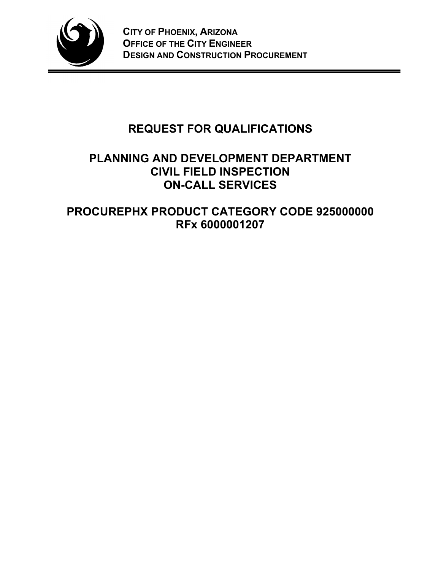

# **REQUEST FOR QUALIFICATIONS**

## **PLANNING AND DEVELOPMENT DEPARTMENT CIVIL FIELD INSPECTION ON-CALL SERVICES**

**PROCUREPHX PRODUCT CATEGORY CODE 925000000 RFx 6000001207**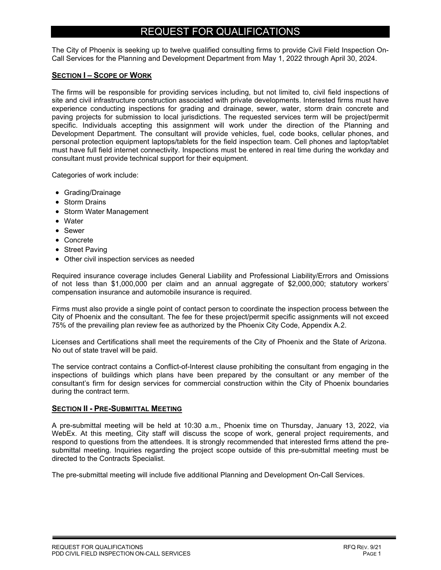### REQUEST FOR QUALIFICATIONS

The City of Phoenix is seeking up to twelve qualified consulting firms to provide Civil Field Inspection On-Call Services for the Planning and Development Department from May 1, 2022 through April 30, 2024.

#### **SECTION I – SCOPE OF WORK**

The firms will be responsible for providing services including, but not limited to, civil field inspections of site and civil infrastructure construction associated with private developments. Interested firms must have experience conducting inspections for grading and drainage, sewer, water, storm drain concrete and paving projects for submission to local jurisdictions. The requested services term will be project/permit specific. Individuals accepting this assignment will work under the direction of the Planning and Development Department. The consultant will provide vehicles, fuel, code books, cellular phones, and personal protection equipment laptops/tablets for the field inspection team. Cell phones and laptop/tablet must have full field internet connectivity. Inspections must be entered in real time during the workday and consultant must provide technical support for their equipment.

Categories of work include:

- Grading/Drainage
- Storm Drains
- Storm Water Management
- Water
- Sewer
- Concrete
- Street Paving
- Other civil inspection services as needed

Required insurance coverage includes General Liability and Professional Liability/Errors and Omissions of not less than \$1,000,000 per claim and an annual aggregate of \$2,000,000; statutory workers' compensation insurance and automobile insurance is required.

Firms must also provide a single point of contact person to coordinate the inspection process between the City of Phoenix and the consultant. The fee for these project/permit specific assignments will not exceed 75% of the prevailing plan review fee as authorized by the Phoenix City Code, Appendix A.2.

Licenses and Certifications shall meet the requirements of the City of Phoenix and the State of Arizona. No out of state travel will be paid.

The service contract contains a Conflict-of-Interest clause prohibiting the consultant from engaging in the inspections of buildings which plans have been prepared by the consultant or any member of the consultant's firm for design services for commercial construction within the City of Phoenix boundaries during the contract term.

#### **SECTION II - PRE-SUBMITTAL MEETING**

A pre-submittal meeting will be held at 10:30 a.m., Phoenix time on Thursday, January 13, 2022, via WebEx. At this meeting, City staff will discuss the scope of work, general project requirements, and respond to questions from the attendees. It is strongly recommended that interested firms attend the presubmittal meeting. Inquiries regarding the project scope outside of this pre-submittal meeting must be directed to the Contracts Specialist.

The pre-submittal meeting will include five additional Planning and Development On-Call Services.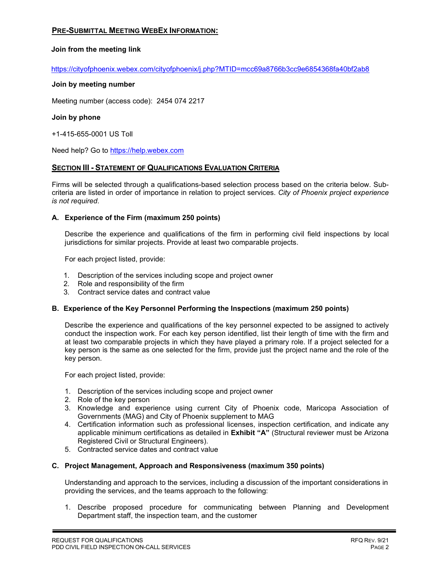#### **PRE-SUBMITTAL MEETING WEBEX INFORMATION:**

#### **Join from the meeting link**

https://cityofphoenix.webex.com/cityofphoenix/j.php?MTID=mcc69a8766b3cc9e6854368fa40bf2ab8

#### **Join by meeting number**

Meeting number (access code): 2454 074 2217

#### **Join by phone**

+1-415-655-0001 US Toll

Need help? Go to https://help.webex.com

#### **SECTION III - STATEMENT OF QUALIFICATIONS EVALUATION CRITERIA**

Firms will be selected through a qualifications-based selection process based on the criteria below. Subcriteria are listed in order of importance in relation to project services. *City of Phoenix project experience is not required*.

#### **A. Experience of the Firm (maximum 250 points)**

Describe the experience and qualifications of the firm in performing civil field inspections by local jurisdictions for similar projects. Provide at least two comparable projects.

For each project listed, provide:

- 1. Description of the services including scope and project owner
- 2. Role and responsibility of the firm
- 3. Contract service dates and contract value

#### **B. Experience of the Key Personnel Performing the Inspections (maximum 250 points)**

Describe the experience and qualifications of the key personnel expected to be assigned to actively conduct the inspection work. For each key person identified, list their length of time with the firm and at least two comparable projects in which they have played a primary role. If a project selected for a key person is the same as one selected for the firm, provide just the project name and the role of the key person.

For each project listed, provide:

- 1. Description of the services including scope and project owner
- 2. Role of the key person
- 3. Knowledge and experience using current City of Phoenix code, Maricopa Association of Governments (MAG) and City of Phoenix supplement to MAG
- 4. Certification information such as professional licenses, inspection certification, and indicate any applicable minimum certifications as detailed in **Exhibit "A"** (Structural reviewer must be Arizona Registered Civil or Structural Engineers).
- 5. Contracted service dates and contract value

#### **C. Project Management, Approach and Responsiveness (maximum 350 points)**

Understanding and approach to the services, including a discussion of the important considerations in providing the services, and the teams approach to the following:

1. Describe proposed procedure for communicating between Planning and Development Department staff, the inspection team, and the customer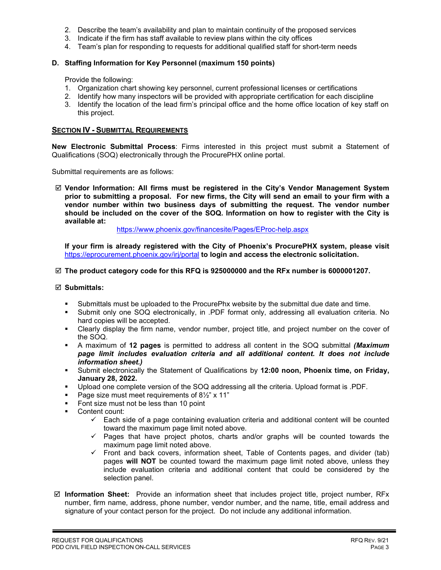- 2. Describe the team's availability and plan to maintain continuity of the proposed services
- 3. Indicate if the firm has staff available to review plans within the city offices
- 4. Team's plan for responding to requests for additional qualified staff for short-term needs

#### **D. Staffing Information for Key Personnel (maximum 150 points)**

Provide the following:

- 1. Organization chart showing key personnel, current professional licenses or certifications
- 2. Identify how many inspectors will be provided with appropriate certification for each discipline
- 3. Identify the location of the lead firm's principal office and the home office location of key staff on this project.

#### **SECTION IV - SUBMITTAL REQUIREMENTS**

**New Electronic Submittal Process**: Firms interested in this project must submit a Statement of Qualifications (SOQ) electronically through the ProcurePHX online portal.

Submittal requirements are as follows:

 **Vendor Information: All firms must be registered in the City's Vendor Management System prior to submitting a proposal. For new firms, the City will send an email to your firm with a vendor number within two business days of submitting the request. The vendor number should be included on the cover of the SOQ. Information on how to register with the City is available at:** 

<https://www.phoenix.gov/financesite/Pages/EProc-help.aspx>

**If your firm is already registered with the City of Phoenix's ProcurePHX system, please visit**  <https://eprocurement.phoenix.gov/irj/portal> **to login and access the electronic solicitation.**

#### **The product category code for this RFQ is 925000000 and the RFx number is 6000001207.**

#### **Submittals:**

- Submittals must be uploaded to the ProcurePhx website by the submittal due date and time.
- Submit only one SOQ electronically, in .PDF format only, addressing all evaluation criteria. No hard copies will be accepted.
- Clearly display the firm name, vendor number, project title, and project number on the cover of the SOQ.
- A maximum of **12 pages** is permitted to address all content in the SOQ submittal *(Maximum page limit includes evaluation criteria and all additional content. It does not include information sheet.)*
- Submit electronically the Statement of Qualifications by **12:00 noon, Phoenix time, on Friday, January 28, 2022.**
- Upload one complete version of the SOQ addressing all the criteria. Upload format is .PDF.
- Page size must meet requirements of 8½" x 11"
- Font size must not be less than 10 point
- **Content count:** 
	- $\checkmark$  Each side of a page containing evaluation criteria and additional content will be counted toward the maximum page limit noted above.
	- $\checkmark$  Pages that have project photos, charts and/or graphs will be counted towards the maximum page limit noted above.
	- Front and back covers, information sheet, Table of Contents pages, and divider (tab) pages **will NOT** be counted toward the maximum page limit noted above, unless they include evaluation criteria and additional content that could be considered by the selection panel.
- **Information Sheet:** Provide an information sheet that includes project title, project number, RFx number, firm name, address, phone number, vendor number, and the name, title, email address and signature of your contact person for the project. Do not include any additional information.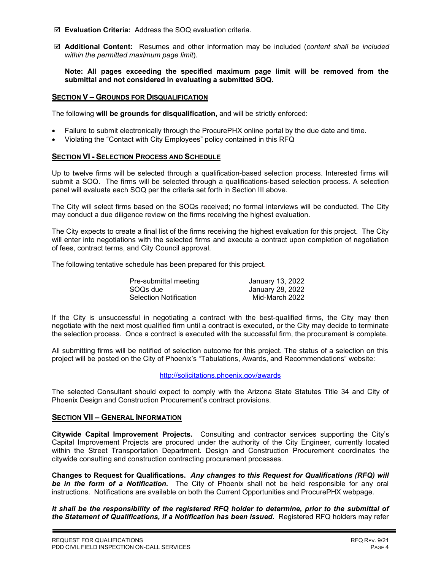- **Evaluation Criteria:** Address the SOQ evaluation criteria.
- **Additional Content:** Resumes and other information may be included (*content shall be included within the permitted maximum page limit*).

**Note: All pages exceeding the specified maximum page limit will be removed from the submittal and not considered in evaluating a submitted SOQ.** 

#### **SECTION V – GROUNDS FOR DISQUALIFICATION**

The following **will be grounds for disqualification,** and will be strictly enforced:

- Failure to submit electronically through the ProcurePHX online portal by the due date and time.
- Violating the "Contact with City Employees" policy contained in this RFQ

#### **SECTION VI - SELECTION PROCESS AND SCHEDULE**

Up to twelve firms will be selected through a qualification-based selection process. Interested firms will submit a SOQ. The firms will be selected through a qualifications-based selection process. A selection panel will evaluate each SOQ per the criteria set forth in Section III above.

The City will select firms based on the SOQs received; no formal interviews will be conducted. The City may conduct a due diligence review on the firms receiving the highest evaluation.

The City expects to create a final list of the firms receiving the highest evaluation for this project. The City will enter into negotiations with the selected firms and execute a contract upon completion of negotiation of fees, contract terms, and City Council approval.

The following tentative schedule has been prepared for this project.

| Pre-submittal meeting         | January 13, 2022 |
|-------------------------------|------------------|
| SOQs due                      | January 28, 2022 |
| <b>Selection Notification</b> | Mid-March 2022   |

If the City is unsuccessful in negotiating a contract with the best-qualified firms, the City may then negotiate with the next most qualified firm until a contract is executed, or the City may decide to terminate the selection process. Once a contract is executed with the successful firm, the procurement is complete.

All submitting firms will be notified of selection outcome for this project. The status of a selection on this project will be posted on the City of Phoenix's "Tabulations, Awards, and Recommendations" website:

<http://solicitations.phoenix.gov/awards>

The selected Consultant should expect to comply with the Arizona State Statutes Title 34 and City of Phoenix Design and Construction Procurement's contract provisions.

#### **SECTION VII – GENERAL INFORMATION**

**Citywide Capital Improvement Projects.** Consulting and contractor services supporting the City's Capital Improvement Projects are procured under the authority of the City Engineer, currently located within the Street Transportation Department. Design and Construction Procurement coordinates the citywide consulting and construction contracting procurement processes.

**Changes to Request for Qualifications.** *Any changes to this Request for Qualifications (RFQ) will be in the form of a Notification.* The City of Phoenix shall not be held responsible for any oral instructions. Notifications are available on both the Current Opportunities and ProcurePHX webpage.

*It shall be the responsibility of the registered RFQ holder to determine, prior to the submittal of the Statement of Qualifications, if a Notification has been issued***.** Registered RFQ holders may refer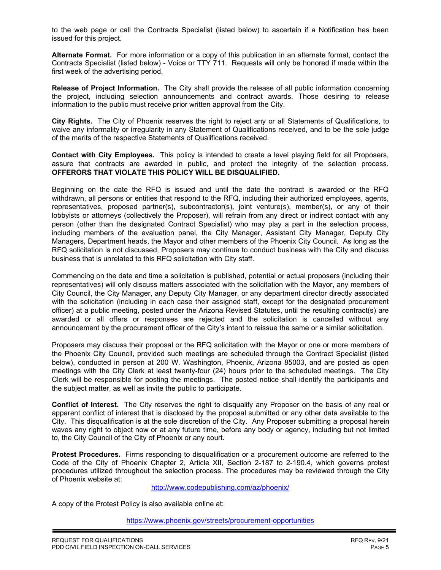to the web page or call the Contracts Specialist (listed below) to ascertain if a Notification has been issued for this project.

**Alternate Format.** For more information or a copy of this publication in an alternate format, contact the Contracts Specialist (listed below) - Voice or TTY 711. Requests will only be honored if made within the first week of the advertising period.

**Release of Project Information.** The City shall provide the release of all public information concerning the project, including selection announcements and contract awards. Those desiring to release information to the public must receive prior written approval from the City.

**City Rights.** The City of Phoenix reserves the right to reject any or all Statements of Qualifications, to waive any informality or irregularity in any Statement of Qualifications received, and to be the sole judge of the merits of the respective Statements of Qualifications received.

**Contact with City Employees.** This policy is intended to create a level playing field for all Proposers, assure that contracts are awarded in public, and protect the integrity of the selection process. **OFFERORS THAT VIOLATE THIS POLICY WILL BE DISQUALIFIED.**

Beginning on the date the RFQ is issued and until the date the contract is awarded or the RFQ withdrawn, all persons or entities that respond to the RFQ, including their authorized employees, agents, representatives, proposed partner(s), subcontractor(s), joint venture(s), member(s), or any of their lobbyists or attorneys (collectively the Proposer), will refrain from any direct or indirect contact with any person (other than the designated Contract Specialist) who may play a part in the selection process, including members of the evaluation panel, the City Manager, Assistant City Manager, Deputy City Managers, Department heads, the Mayor and other members of the Phoenix City Council. As long as the RFQ solicitation is not discussed, Proposers may continue to conduct business with the City and discuss business that is unrelated to this RFQ solicitation with City staff.

Commencing on the date and time a solicitation is published, potential or actual proposers (including their representatives) will only discuss matters associated with the solicitation with the Mayor, any members of City Council, the City Manager, any Deputy City Manager, or any department director directly associated with the solicitation (including in each case their assigned staff, except for the designated procurement officer) at a public meeting, posted under the Arizona Revised Statutes, until the resulting contract(s) are awarded or all offers or responses are rejected and the solicitation is cancelled without any announcement by the procurement officer of the City's intent to reissue the same or a similar solicitation.

Proposers may discuss their proposal or the RFQ solicitation with the Mayor or one or more members of the Phoenix City Council, provided such meetings are scheduled through the Contract Specialist (listed below), conducted in person at 200 W. Washington, Phoenix, Arizona 85003, and are posted as open meetings with the City Clerk at least twenty-four (24) hours prior to the scheduled meetings. The City Clerk will be responsible for posting the meetings. The posted notice shall identify the participants and the subject matter, as well as invite the public to participate.

**Conflict of Interest.** The City reserves the right to disqualify any Proposer on the basis of any real or apparent conflict of interest that is disclosed by the proposal submitted or any other data available to the City. This disqualification is at the sole discretion of the City. Any Proposer submitting a proposal herein waves any right to object now or at any future time, before any body or agency, including but not limited to, the City Council of the City of Phoenix or any court.

**Protest Procedures.** Firms responding to disqualification or a procurement outcome are referred to the Code of the City of Phoenix Chapter 2, Article XII, Section 2-187 to 2-190.4, which governs protest procedures utilized throughout the selection process. The procedures may be reviewed through the City of Phoenix website at:

<http://www.codepublishing.com/az/phoenix/>

A copy of the Protest Policy is also available online at:

<https://www.phoenix.gov/streets/procurement-opportunities>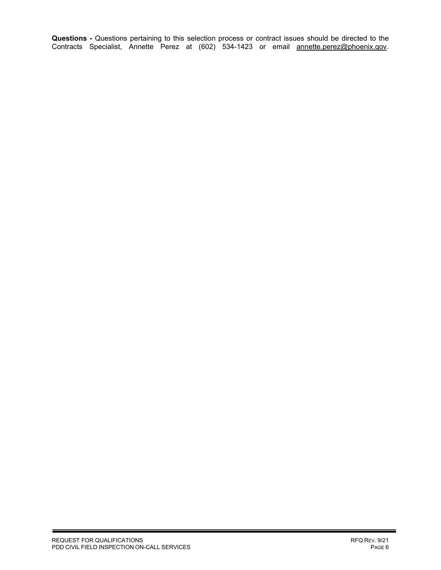**Questions -** Questions pertaining to this selection process or contract issues should be directed to the Contracts Specialist, Annette Perez at (602) 534-1423 or email <u>annette.perez@phoenix.gov</u>.